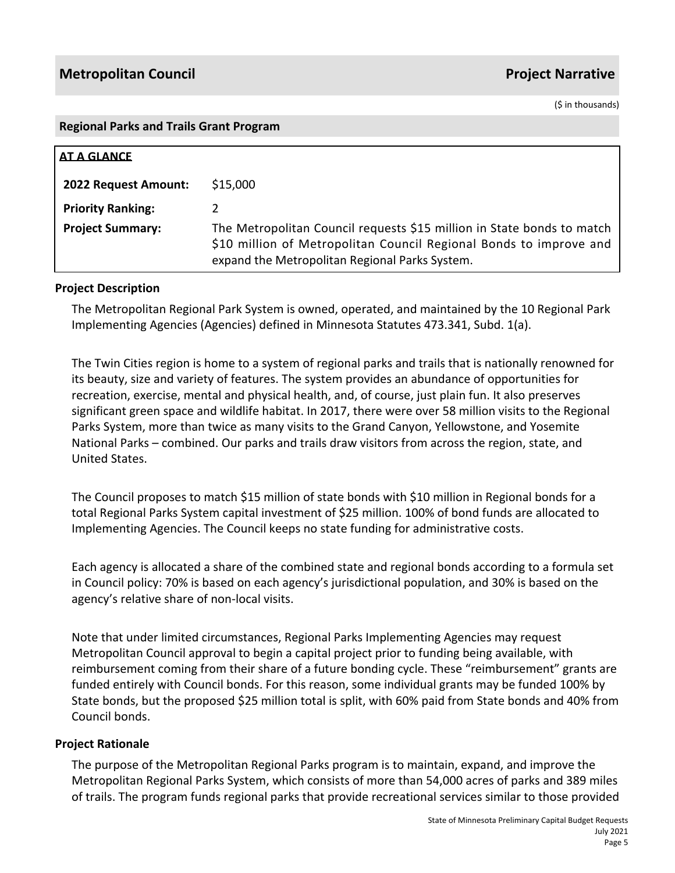(\$ in thousands)

#### **Regional Parks and Trails Grant Program**

| AT A GLANCE              |                                                                                                                                                                                                |
|--------------------------|------------------------------------------------------------------------------------------------------------------------------------------------------------------------------------------------|
| 2022 Request Amount:     | \$15,000                                                                                                                                                                                       |
| <b>Priority Ranking:</b> |                                                                                                                                                                                                |
| <b>Project Summary:</b>  | The Metropolitan Council requests \$15 million in State bonds to match<br>\$10 million of Metropolitan Council Regional Bonds to improve and<br>expand the Metropolitan Regional Parks System. |

### **Project Description**

The Metropolitan Regional Park System is owned, operated, and maintained by the 10 Regional Park Implementing Agencies (Agencies) defined in Minnesota Statutes 473.341, Subd. 1(a).

The Twin Cities region is home to a system of regional parks and trails that is nationally renowned for its beauty, size and variety of features. The system provides an abundance of opportunities for recreation, exercise, mental and physical health, and, of course, just plain fun. It also preserves significant green space and wildlife habitat. In 2017, there were over 58 million visits to the Regional Parks System, more than twice as many visits to the Grand Canyon, Yellowstone, and Yosemite National Parks – combined. Our parks and trails draw visitors from across the region, state, and United States.

The Council proposes to match \$15 million of state bonds with \$10 million in Regional bonds for a total Regional Parks System capital investment of \$25 million. 100% of bond funds are allocated to Implementing Agencies. The Council keeps no state funding for administrative costs.

Each agency is allocated a share of the combined state and regional bonds according to a formula set in Council policy: 70% is based on each agency's jurisdictional population, and 30% is based on the agency's relative share of non-local visits.

Note that under limited circumstances, Regional Parks Implementing Agencies may request Metropolitan Council approval to begin a capital project prior to funding being available, with reimbursement coming from their share of a future bonding cycle. These "reimbursement" grants are funded entirely with Council bonds. For this reason, some individual grants may be funded 100% by State bonds, but the proposed \$25 million total is split, with 60% paid from State bonds and 40% from Council bonds.

### **Project Rationale**

The purpose of the Metropolitan Regional Parks program is to maintain, expand, and improve the Metropolitan Regional Parks System, which consists of more than 54,000 acres of parks and 389 miles of trails. The program funds regional parks that provide recreational services similar to those provided